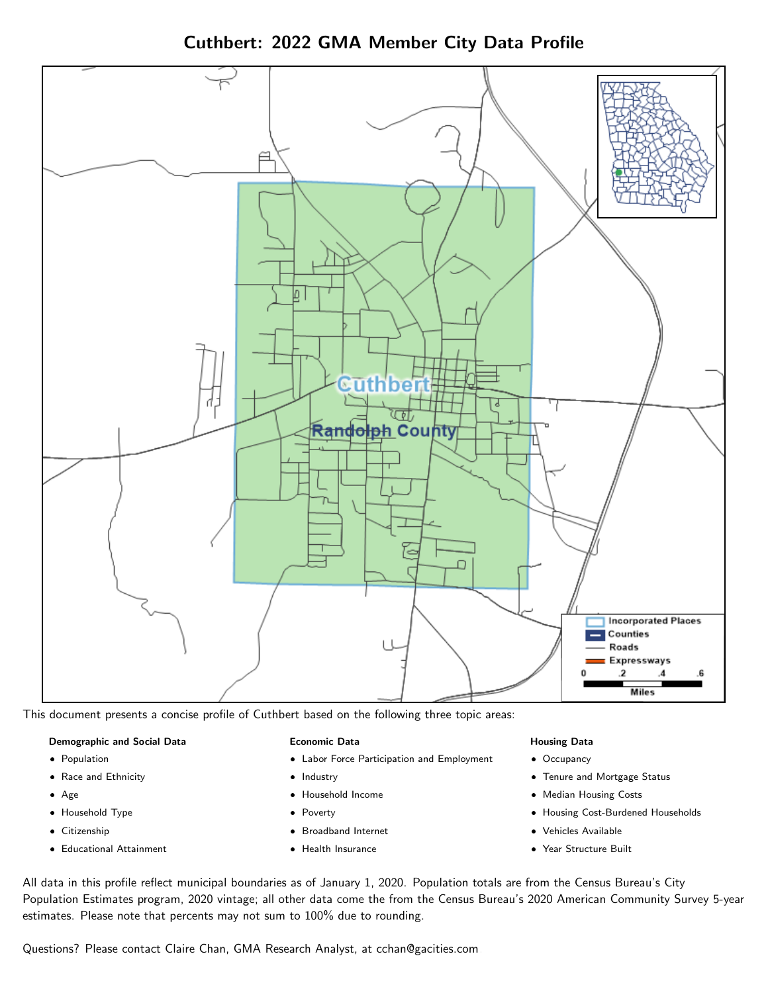Cuthbert: 2022 GMA Member City Data Profile



This document presents a concise profile of Cuthbert based on the following three topic areas:

### Demographic and Social Data

- **•** Population
- Race and Ethnicity
- Age
- Household Type
- **Citizenship**
- Educational Attainment

### Economic Data

- Labor Force Participation and Employment
- Industry
- Household Income
- Poverty
- Broadband Internet
- Health Insurance

### Housing Data

- Occupancy
- Tenure and Mortgage Status
- Median Housing Costs
- Housing Cost-Burdened Households
- Vehicles Available
- Year Structure Built

All data in this profile reflect municipal boundaries as of January 1, 2020. Population totals are from the Census Bureau's City Population Estimates program, 2020 vintage; all other data come the from the Census Bureau's 2020 American Community Survey 5-year estimates. Please note that percents may not sum to 100% due to rounding.

Questions? Please contact Claire Chan, GMA Research Analyst, at [cchan@gacities.com.](mailto:cchan@gacities.com)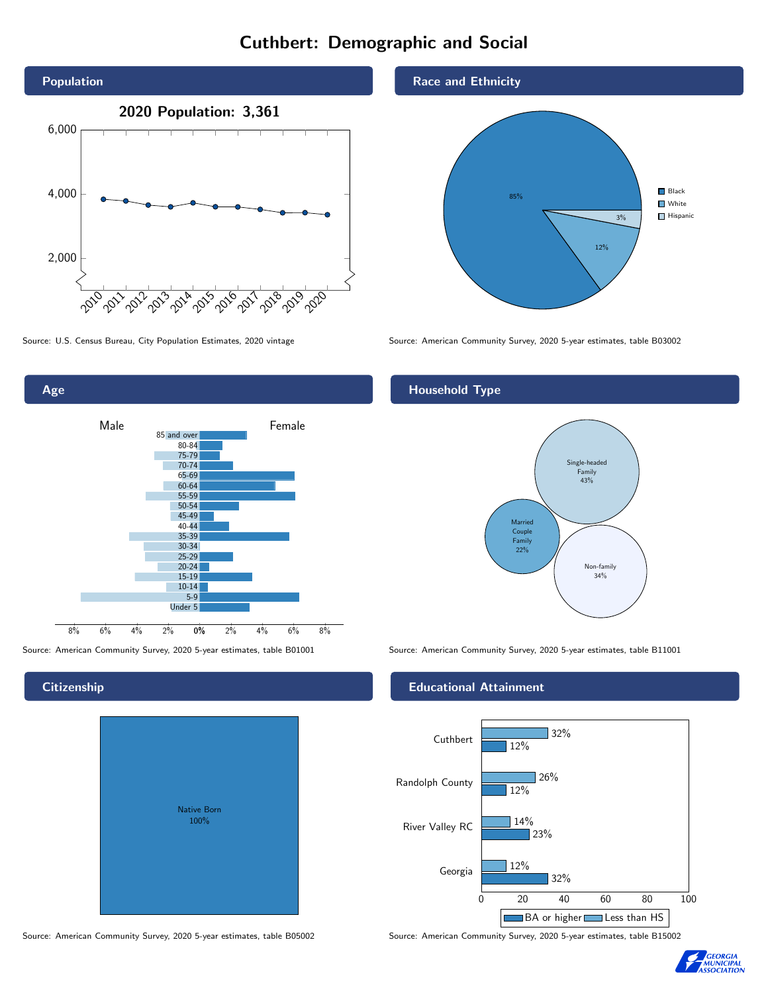# Cuthbert: Demographic and Social



Age 0% 2% 4% 6% 8% Male <u>Communicular Female</u> 8% 6% 4% 2% 85 and over 80-84 75-79 70-74 65-69 60-64 55-59 50-54 45-49 40-44 35-39 30-34 25-29 20-24 15-19  $10-14$ 5-9 Under 5

# **Citizenship**

| <b>Native Born</b><br>100% |  |
|----------------------------|--|

Source: American Community Survey, 2020 5-year estimates, table B05002 Source: American Community Survey, 2020 5-year estimates, table B15002

## Race and Ethnicity



Source: U.S. Census Bureau, City Population Estimates, 2020 vintage Source: American Community Survey, 2020 5-year estimates, table B03002

# Household Type



Source: American Community Survey, 2020 5-year estimates, table B01001 Source: American Community Survey, 2020 5-year estimates, table B11001

## Educational Attainment



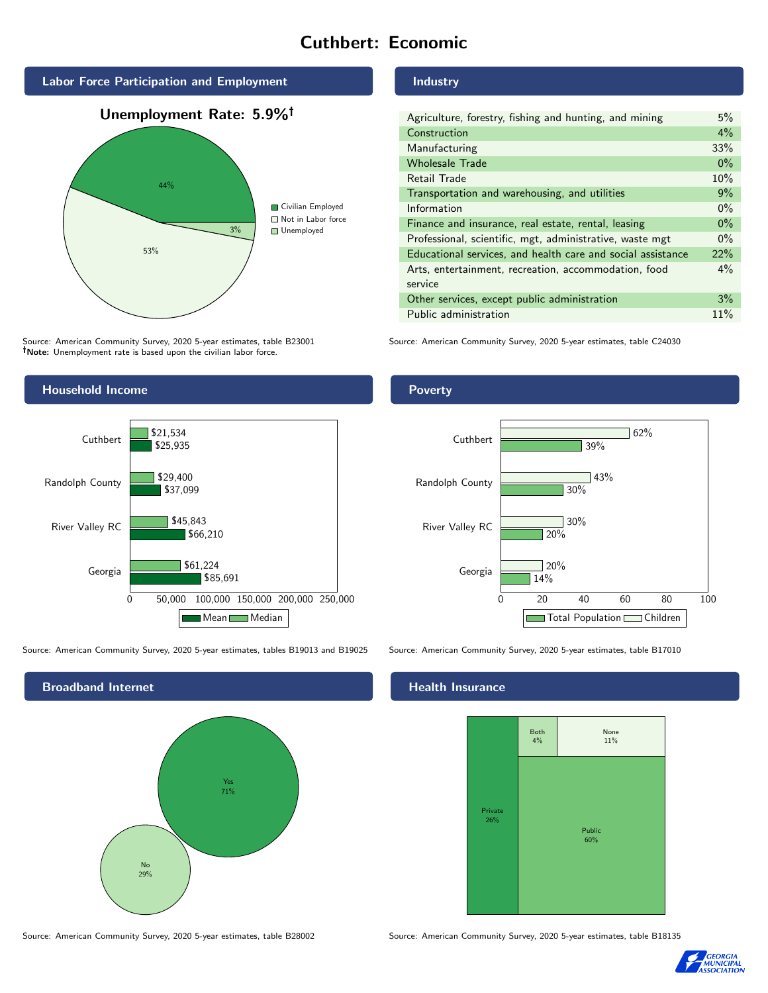# Cuthbert: Economic



Source: American Community Survey, 2020 5-year estimates, table B23001 Note: Unemployment rate is based upon the civilian labor force.



Source: American Community Survey, 2020 5-year estimates, tables B19013 and B19025 Source: American Community Survey, 2020 5-year estimates, table B17010



Industry

| Agriculture, forestry, fishing and hunting, and mining      | 5%    |
|-------------------------------------------------------------|-------|
| Construction                                                |       |
| Manufacturing                                               | 33%   |
| <b>Wholesale Trade</b>                                      | $0\%$ |
| Retail Trade                                                |       |
| Transportation and warehousing, and utilities               |       |
| Information                                                 |       |
| Finance and insurance, real estate, rental, leasing         |       |
| Professional, scientific, mgt, administrative, waste mgt    |       |
| Educational services, and health care and social assistance |       |
| Arts, entertainment, recreation, accommodation, food        |       |
| service                                                     |       |
| Other services, except public administration                |       |
| Public administration                                       |       |

Source: American Community Survey, 2020 5-year estimates, table C24030

Poverty



## **Health Insurance**



Source: American Community Survey, 2020 5-year estimates, table B28002 Source: American Community Survey, 2020 5-year estimates, table B18135